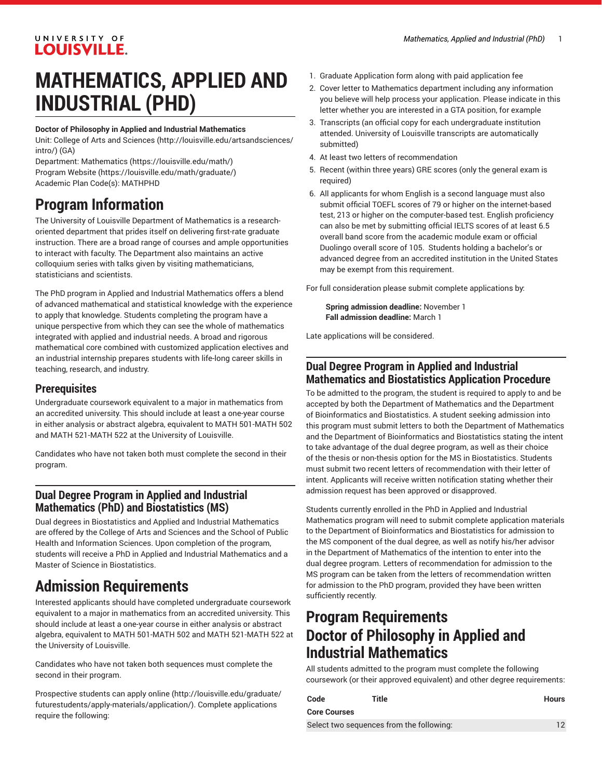## UNIVERSITY OF **LOUISVILLE.**

# **MATHEMATICS, APPLIED AND INDUSTRIAL (PHD)**

#### **Doctor of Philosophy in Applied and Industrial Mathematics**

Unit: College of Arts and [Sciences \(http://louisville.edu/artsandsciences/](http://louisville.edu/artsandsciences/intro/) [intro/\)](http://louisville.edu/artsandsciences/intro/) (GA)

Department: [Mathematics](https://louisville.edu/math/) (<https://louisville.edu/math/>) [Program](https://louisville.edu/math/graduate/) Website [\(https://louisville.edu/math/graduate/\)](https://louisville.edu/math/graduate/) Academic Plan Code(s): MATHPHD

## **Program Information**

The University of Louisville Department of Mathematics is a researchoriented department that prides itself on delivering first-rate graduate instruction. There are a broad range of courses and ample opportunities to interact with faculty. The Department also maintains an active colloquium series with talks given by visiting mathematicians, statisticians and scientists.

The PhD program in Applied and Industrial Mathematics offers a blend of advanced mathematical and statistical knowledge with the experience to apply that knowledge. Students completing the program have a unique perspective from which they can see the whole of mathematics integrated with applied and industrial needs. A broad and rigorous mathematical core combined with customized application electives and an industrial internship prepares students with life-long career skills in teaching, research, and industry.

#### **Prerequisites**

Undergraduate coursework equivalent to a major in mathematics from an accredited university. This should include at least a one-year course in either analysis or abstract algebra, equivalent to MATH 501-MATH 502 and MATH 521-MATH 522 at the University of Louisville.

Candidates who have not taken both must complete the second in their program.

#### **Dual Degree Program in Applied and Industrial Mathematics (PhD) and Biostatistics (MS)**

Dual degrees in Biostatistics and Applied and Industrial Mathematics are offered by the College of Arts and Sciences and the School of Public Health and Information Sciences. Upon completion of the program, students will receive a PhD in Applied and Industrial Mathematics and a Master of Science in Biostatistics.

## **Admission Requirements**

Interested applicants should have completed undergraduate coursework equivalent to a major in mathematics from an accredited university. This should include at least a one-year course in either analysis or abstract algebra, equivalent to MATH 501-MATH 502 and MATH 521-MATH 522 at the University of Louisville.

Candidates who have not taken both sequences must complete the second in their program.

[Prospective](http://louisville.edu/graduate/futurestudents/apply-materials/application/) students can apply online [\(http://louisville.edu/graduate/](http://louisville.edu/graduate/futurestudents/apply-materials/application/) [futurestudents/apply-materials/application/\)](http://louisville.edu/graduate/futurestudents/apply-materials/application/). Complete applications require the following:

- 1. Graduate Application form along with paid application fee
- 2. Cover letter to Mathematics department including any information you believe will help process your application. Please indicate in this letter whether you are interested in a GTA position, for example
- 3. Transcripts (an official copy for each undergraduate institution attended. University of Louisville transcripts are automatically submitted)
- 4. At least two letters of recommendation
- 5. Recent (within three years) GRE scores (only the general exam is required)
- 6. All applicants for whom English is a second language must also submit official TOEFL scores of 79 or higher on the internet-based test, 213 or higher on the computer-based test. English proficiency can also be met by submitting official IELTS scores of at least 6.5 overall band score from the academic module exam or official Duolingo overall score of 105. Students holding a bachelor's or advanced degree from an accredited institution in the United States may be exempt from this requirement.

For full consideration please submit complete applications by:

**Spring admission deadline:** November 1 **Fall admission deadline:** March 1

Late applications will be considered.

#### **Dual Degree Program in Applied and Industrial Mathematics and Biostatistics Application Procedure**

To be admitted to the program, the student is required to apply to and be accepted by both the Department of Mathematics and the Department of Bioinformatics and Biostatistics. A student seeking admission into this program must submit letters to both the Department of Mathematics and the Department of Bioinformatics and Biostatistics stating the intent to take advantage of the dual degree program, as well as their choice of the thesis or non-thesis option for the MS in Biostatistics. Students must submit two recent letters of recommendation with their letter of intent. Applicants will receive written notification stating whether their admission request has been approved or disapproved.

Students currently enrolled in the PhD in Applied and Industrial Mathematics program will need to submit complete application materials to the Department of Bioinformatics and Biostatistics for admission to the MS component of the dual degree, as well as notify his/her advisor in the Department of Mathematics of the intention to enter into the dual degree program. Letters of recommendation for admission to the MS program can be taken from the letters of recommendation written for admission to the PhD program, provided they have been written sufficiently recently.

## **Program Requirements Doctor of Philosophy in Applied and Industrial Mathematics**

All students admitted to the program must complete the following coursework (or their approved equivalent) and other degree requirements:

| Code                                     | Title | <b>Hours</b> |
|------------------------------------------|-------|--------------|
| <b>Core Courses</b>                      |       |              |
| Select two sequences from the following: |       |              |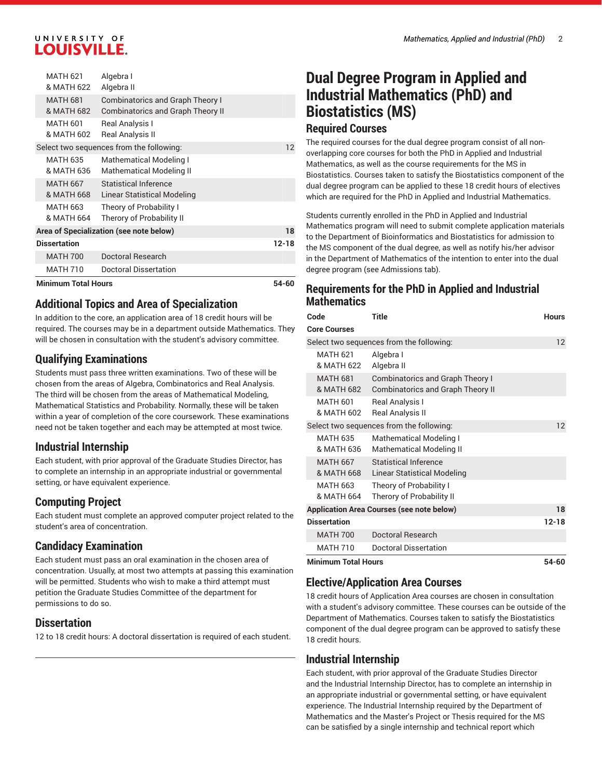#### UNIVERSITY OF **LOUISVILLE.**

| <b>Minimum Total Hours</b>              |                               |                                                                                     | 54-60 |
|-----------------------------------------|-------------------------------|-------------------------------------------------------------------------------------|-------|
|                                         | <b>MATH 710</b>               | Doctoral Dissertation                                                               |       |
|                                         | <b>MATH 700</b>               | Doctoral Research                                                                   |       |
|                                         | <b>Dissertation</b>           |                                                                                     | 12-18 |
| Area of Specialization (see note below) |                               |                                                                                     | 18    |
|                                         | <b>MATH 663</b><br>& MATH 664 | Theory of Probability I<br>Therory of Probability II                                |       |
|                                         | <b>MATH 667</b><br>& MATH 668 | <b>Statistical Inference</b><br>Linear Statistical Modeling                         |       |
|                                         | <b>MATH 635</b><br>& MATH 636 | Mathematical Modeling I<br><b>Mathematical Modeling II</b>                          |       |
|                                         |                               | Select two sequences from the following:                                            | 12    |
|                                         | <b>MATH 601</b><br>& MATH 602 | Real Analysis I<br><b>Real Analysis II</b>                                          |       |
|                                         | <b>MATH 681</b><br>& MATH 682 | <b>Combinatorics and Graph Theory I</b><br><b>Combinatorics and Graph Theory II</b> |       |
|                                         | <b>MATH 621</b><br>& MATH 622 | Algebra I<br>Algebra II                                                             |       |

#### **Additional Topics and Area of Specialization**

In addition to the core, an application area of 18 credit hours will be required. The courses may be in a department outside Mathematics. They will be chosen in consultation with the student's advisory committee.

#### **Qualifying Examinations**

Students must pass three written examinations. Two of these will be chosen from the areas of Algebra, Combinatorics and Real Analysis. The third will be chosen from the areas of Mathematical Modeling, Mathematical Statistics and Probability. Normally, these will be taken within a year of completion of the core coursework. These examinations need not be taken together and each may be attempted at most twice.

## **Industrial Internship**

Each student, with prior approval of the Graduate Studies Director, has to complete an internship in an appropriate industrial or governmental setting, or have equivalent experience.

## **Computing Project**

Each student must complete an approved computer project related to the student's area of concentration.

## **Candidacy Examination**

Each student must pass an oral examination in the chosen area of concentration. Usually, at most two attempts at passing this examination will be permitted. Students who wish to make a third attempt must petition the Graduate Studies Committee of the department for permissions to do so.

#### **Dissertation**

12 to 18 credit hours: A doctoral dissertation is required of each student.

## **Dual Degree Program in Applied and Industrial Mathematics (PhD) and Biostatistics (MS) Required Courses**

The required courses for the dual degree program consist of all nonoverlapping core courses for both the PhD in Applied and Industrial Mathematics, as well as the course requirements for the MS in Biostatistics. Courses taken to satisfy the Biostatistics component of the dual degree program can be applied to these 18 credit hours of electives which are required for the PhD in Applied and Industrial Mathematics.

Students currently enrolled in the PhD in Applied and Industrial Mathematics program will need to submit complete application materials to the Department of Bioinformatics and Biostatistics for admission to the MS component of the dual degree, as well as notify his/her advisor in the Department of Mathematics of the intention to enter into the dual degree program (see Admissions tab).

#### **Requirements for the PhD in Applied and Industrial Mathematics**

| Code                                             | <b>Title</b>                                                                        | <b>Hours</b> |
|--------------------------------------------------|-------------------------------------------------------------------------------------|--------------|
| <b>Core Courses</b>                              |                                                                                     |              |
| Select two sequences from the following:         | 12                                                                                  |              |
| <b>MATH 621</b><br>& MATH 622                    | Algebra I<br>Algebra II                                                             |              |
| <b>MATH 681</b><br>& MATH 682                    | <b>Combinatorics and Graph Theory I</b><br><b>Combinatorics and Graph Theory II</b> |              |
| <b>MATH 601</b><br>& MATH 602                    | Real Analysis I<br><b>Real Analysis II</b>                                          |              |
| Select two sequences from the following:         | 12                                                                                  |              |
| <b>MATH 635</b><br>& MATH 636                    | <b>Mathematical Modeling I</b><br><b>Mathematical Modeling II</b>                   |              |
| <b>MATH 667</b><br>& MATH 668                    | <b>Statistical Inference</b><br>Linear Statistical Modeling                         |              |
| <b>MATH 663</b><br>& MATH 664                    | Theory of Probability I<br>Therory of Probability II                                |              |
| <b>Application Area Courses (see note below)</b> | 18                                                                                  |              |
| <b>Dissertation</b>                              |                                                                                     | $12 - 18$    |
| <b>MATH 700</b>                                  | <b>Doctoral Research</b>                                                            |              |
| <b>MATH 710</b>                                  | Doctoral Dissertation                                                               |              |
| <b>Minimum Total Hours</b>                       | 54-60                                                                               |              |

#### **Elective/Application Area Courses**

18 credit hours of Application Area courses are chosen in consultation with a student's advisory committee. These courses can be outside of the Department of Mathematics. Courses taken to satisfy the Biostatistics component of the dual degree program can be approved to satisfy these 18 credit hours.

## **Industrial Internship**

Each student, with prior approval of the Graduate Studies Director and the Industrial Internship Director, has to complete an internship in an appropriate industrial or governmental setting, or have equivalent experience. The Industrial Internship required by the Department of Mathematics and the Master's Project or Thesis required for the MS can be satisfied by a single internship and technical report which